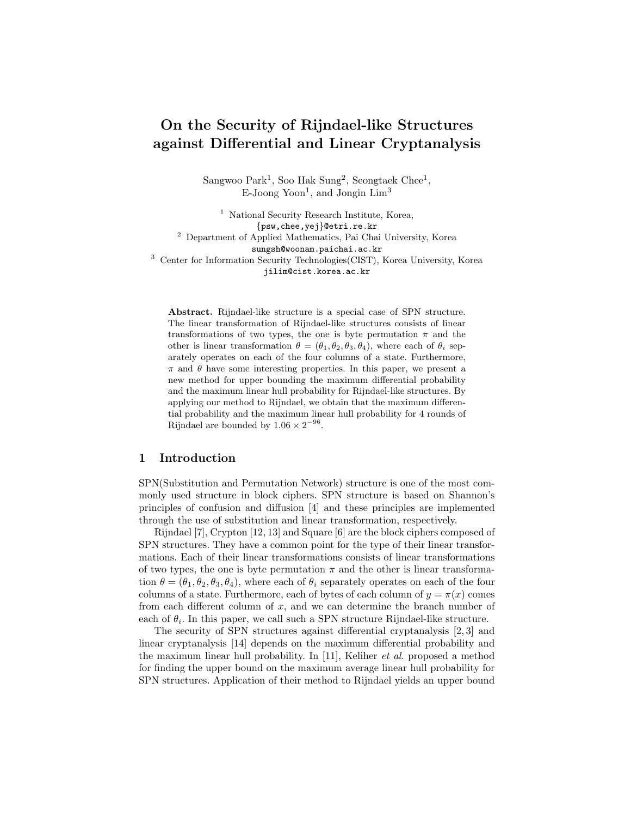# On the Security of Rijndael-like Structures against Differential and Linear Cryptanalysis

 $S\text{angwoo Park}^1$ , Soo Hak  $S\text{ung}^2$ , Seongtaek Chee<sup>1</sup>,  $E$ -Joong Yoon<sup>1</sup>, and Jongin  $Lim<sup>3</sup>$ 

<sup>1</sup> National Security Research Institute, Korea, {psw,chee,yej}@etri.re.kr <sup>2</sup> Department of Applied Mathematics, Pai Chai University, Korea sungsh@woonam.paichai.ac.kr  $^3\,$  Center for Information Security Technologies<br>(CIST), Korea University, Korea jilim@cist.korea.ac.kr

Abstract. Rijndael-like structure is a special case of SPN structure. The linear transformation of Rijndael-like structures consists of linear transformations of two types, the one is byte permutation  $\pi$  and the other is linear transformation  $\theta = (\theta_1, \theta_2, \theta_3, \theta_4)$ , where each of  $\theta_i$  separately operates on each of the four columns of a state. Furthermore,  $\pi$  and  $\theta$  have some interesting properties. In this paper, we present a new method for upper bounding the maximum differential probability and the maximum linear hull probability for Rijndael-like structures. By applying our method to Rijndael, we obtain that the maximum differential probability and the maximum linear hull probability for 4 rounds of Rijndael are bounded by  $1.06 \times 2^{-96}$ .

### 1 Introduction

SPN(Substitution and Permutation Network) structure is one of the most commonly used structure in block ciphers. SPN structure is based on Shannon's principles of confusion and diffusion [4] and these principles are implemented through the use of substitution and linear transformation, respectively.

Rijndael [7], Crypton [12, 13] and Square [6] are the block ciphers composed of SPN structures. They have a common point for the type of their linear transformations. Each of their linear transformations consists of linear transformations of two types, the one is byte permutation  $\pi$  and the other is linear transformation  $\theta = (\theta_1, \theta_2, \theta_3, \theta_4)$ , where each of  $\theta_i$  separately operates on each of the four columns of a state. Furthermore, each of bytes of each column of  $y = \pi(x)$  comes from each different column of  $x$ , and we can determine the branch number of each of  $\theta_i$ . In this paper, we call such a SPN structure Rijndael-like structure.

The security of SPN structures against differential cryptanalysis [2, 3] and linear cryptanalysis [14] depends on the maximum differential probability and the maximum linear hull probability. In [11], Keliher et al. proposed a method for finding the upper bound on the maximum average linear hull probability for SPN structures. Application of their method to Rijndael yields an upper bound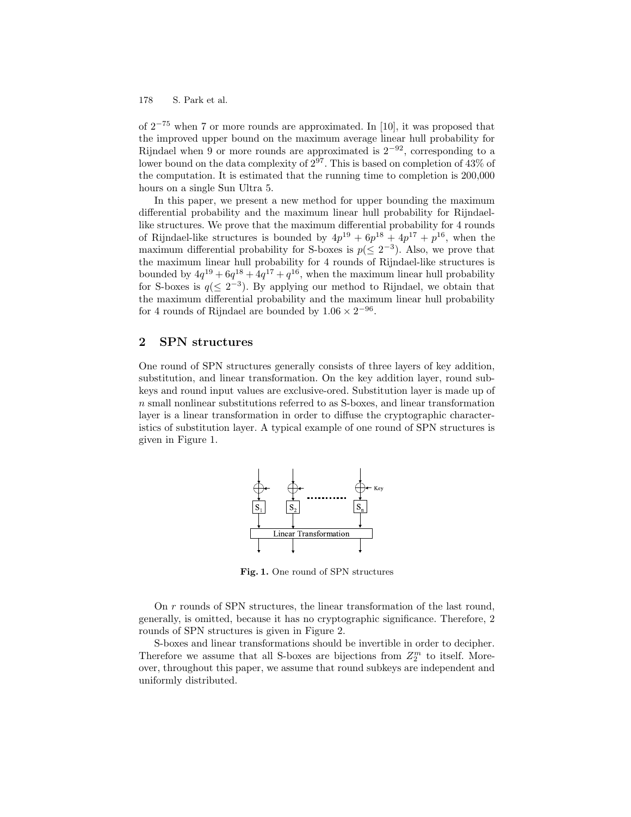of 2 <sup>−</sup><sup>75</sup> when 7 or more rounds are approximated. In [10], it was proposed that the improved upper bound on the maximum average linear hull probability for Rijndael when 9 or more rounds are approximated is  $2^{-92}$ , corresponding to a lower bound on the data complexity of  $2^{97}$ . This is based on completion of 43% of the computation. It is estimated that the running time to completion is 200,000 hours on a single Sun Ultra 5.

In this paper, we present a new method for upper bounding the maximum differential probability and the maximum linear hull probability for Rijndaellike structures. We prove that the maximum differential probability for 4 rounds of Rijndael-like structures is bounded by  $4p^{19} + 6p^{18} + 4p^{17} + p^{16}$ , when the maximum differential probability for S-boxes is  $p(\leq 2^{-3})$ . Also, we prove that the maximum linear hull probability for 4 rounds of Rijndael-like structures is bounded by  $4q^{19} + 6q^{18} + 4q^{17} + q^{16}$ , when the maximum linear hull probability for S-boxes is  $q(\leq 2^{-3})$ . By applying our method to Rijndael, we obtain that the maximum differential probability and the maximum linear hull probability for 4 rounds of Rijndael are bounded by  $1.06 \times 2^{-96}$ .

# 2 SPN structures

One round of SPN structures generally consists of three layers of key addition, substitution, and linear transformation. On the key addition layer, round subkeys and round input values are exclusive-ored. Substitution layer is made up of n small nonlinear substitutions referred to as S-boxes, and linear transformation layer is a linear transformation in order to diffuse the cryptographic characteristics of substitution layer. A typical example of one round of SPN structures is given in Figure 1.



Fig. 1. One round of SPN structures

On r rounds of SPN structures, the linear transformation of the last round, generally, is omitted, because it has no cryptographic significance. Therefore, 2 rounds of SPN structures is given in Figure 2.

S-boxes and linear transformations should be invertible in order to decipher. Therefore we assume that all S-boxes are bijections from  $Z_2^m$  to itself. Moreover, throughout this paper, we assume that round subkeys are independent and uniformly distributed.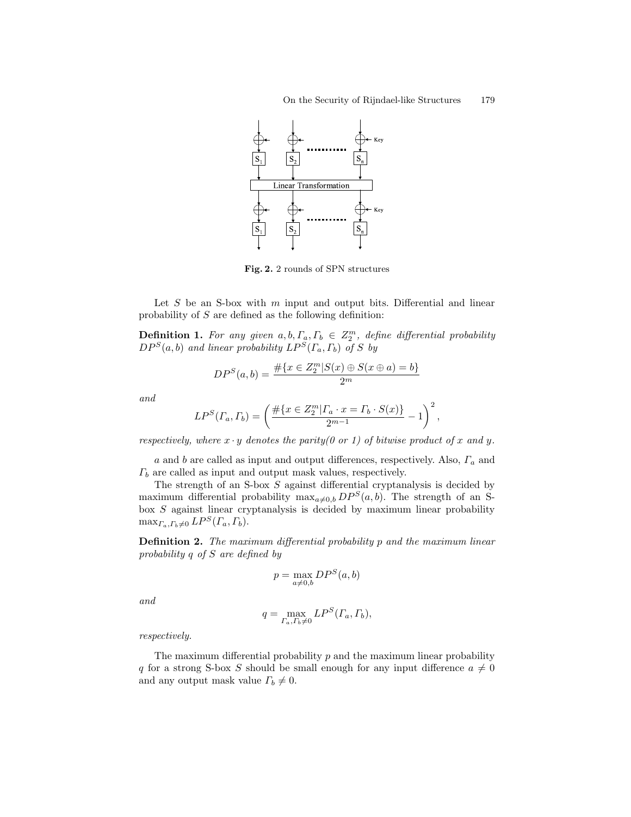

Fig. 2. 2 rounds of SPN structures

Let  $S$  be an S-box with  $m$  input and output bits. Differential and linear probability of S are defined as the following definition:

**Definition 1.** For any given  $a, b, \Gamma_a, \Gamma_b \in \mathbb{Z}_2^m$ , define differential probability  $DP^S(a, b)$  and linear probability  $LP^S(\Gamma_a, \Gamma_b)$  of S by

$$
DP^{S}(a, b) = \frac{\# \{x \in Z_2^m | S(x) \oplus S(x \oplus a) = b\}}{2^m}
$$

and

$$
LP^{S}(F_a, F_b) = \left(\frac{\#\{x \in Z_2^m | F_a \cdot x = F_b \cdot S(x)\}}{2^{m-1}} - 1\right)^2,
$$

respectively, where  $x \cdot y$  denotes the parity(0 or 1) of bitwise product of x and y.

a and b are called as input and output differences, respectively. Also,  $\Gamma_a$  and  $\Gamma_b$  are called as input and output mask values, respectively.

The strength of an S-box S against differential cryptanalysis is decided by maximum differential probability  $\max_{a\neq 0,b}DP^S(a, b)$ . The strength of an Sbox S against linear cryptanalysis is decided by maximum linear probability  $\max_{\Gamma_a, \Gamma_b \neq 0} LP^S(\Gamma_a, \Gamma_b).$ 

**Definition 2.** The maximum differential probability p and the maximum linear probability q of S are defined by

$$
p = \max_{a \neq 0,b} DP^{S}(a,b)
$$

and

$$
q = \max_{\Gamma_a, \Gamma_b \neq 0} LP^S(\Gamma_a, \Gamma_b),
$$

respectively.

The maximum differential probability  $p$  and the maximum linear probability q for a strong S-box S should be small enough for any input difference  $a \neq 0$ and any output mask value  $\Gamma_b \neq 0$ .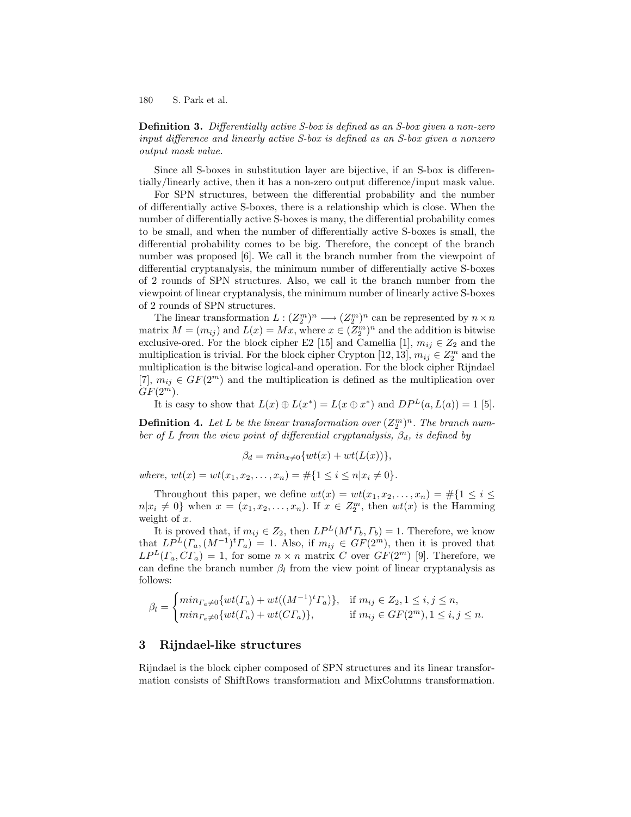Definition 3. Differentially active S-box is defined as an S-box given a non-zero input difference and linearly active S-box is defined as an S-box given a nonzero output mask value.

Since all S-boxes in substitution layer are bijective, if an S-box is differentially/linearly active, then it has a non-zero output difference/input mask value.

For SPN structures, between the differential probability and the number of differentially active S-boxes, there is a relationship which is close. When the number of differentially active S-boxes is many, the differential probability comes to be small, and when the number of differentially active S-boxes is small, the differential probability comes to be big. Therefore, the concept of the branch number was proposed [6]. We call it the branch number from the viewpoint of differential cryptanalysis, the minimum number of differentially active S-boxes of 2 rounds of SPN structures. Also, we call it the branch number from the viewpoint of linear cryptanalysis, the minimum number of linearly active S-boxes of 2 rounds of SPN structures.

The linear transformation  $L: (Z_2^m)^n \longrightarrow (Z_2^m)^n$  can be represented by  $n \times n$ matrix  $M = (m_{ij})$  and  $L(x) = Mx$ , where  $x \in (\mathbb{Z}_2^m)^n$  and the addition is bitwise exclusive-ored. For the block cipher E2 [15] and Camellia [1],  $m_{ij} \in Z_2$  and the multiplication is trivial. For the block cipher Crypton [12, 13],  $m_{ij} \in Z_2^m$  and the multiplication is the bitwise logical-and operation. For the block cipher Rijndael [7],  $m_{ij} \in GF(2^m)$  and the multiplication is defined as the multiplication over  $GF(2^m)$ .

It is easy to show that  $L(x) \oplus L(x^*) = L(x \oplus x^*)$  and  $DP<sup>L</sup>(a, L(a)) = 1$  [5].

**Definition 4.** Let L be the linear transformation over  $(Z_2^m)^n$ . The branch number of L from the view point of differential cryptanalysis,  $\beta_d$ , is defined by

$$
\beta_d = min_{x \neq 0} \{ wt(x) + wt(L(x)) \},
$$

where,  $wt(x) = wt(x_1, x_2, \ldots, x_n) = \#\{1 \leq i \leq n | x_i \neq 0\}.$ 

Throughout this paper, we define  $wt(x) = wt(x_1, x_2, \ldots, x_n) = \#\{1 \leq i \leq n\}$  $n|x_i \neq 0\}$  when  $x = (x_1, x_2, \ldots, x_n)$ . If  $x \in Z_2^m$ , then  $wt(x)$  is the Hamming weight of  $x$ .

It is proved that, if  $m_{ij} \in Z_2$ , then  $LP^L(M^t\Gamma_b, \Gamma_b) = 1$ . Therefore, we know that  $LP^{L}(I_{a}, (M^{-1})^t I_{a}) = 1$ . Also, if  $m_{ij} \in GF(2^m)$ , then it is proved that  $LP^{L}(\Gamma_a, C\Gamma_a) = 1$ , for some  $n \times n$  matrix C over  $GF(2^m)$  [9]. Therefore, we can define the branch number  $\beta_l$  from the view point of linear cryptanalysis as follows:

$$
\beta_l = \begin{cases} \min_{\Gamma_a \neq 0} \{ wt(\Gamma_a) + wt((M^{-1})^t \Gamma_a) \}, & \text{if } m_{ij} \in Z_2, 1 \le i, j \le n, \\ \min_{\Gamma_a \neq 0} \{ wt(\Gamma_a) + wt(C\Gamma_a) \}, & \text{if } m_{ij} \in GF(2^m), 1 \le i, j \le n. \end{cases}
$$

## 3 Rijndael-like structures

Rijndael is the block cipher composed of SPN structures and its linear transformation consists of ShiftRows transformation and MixColumns transformation.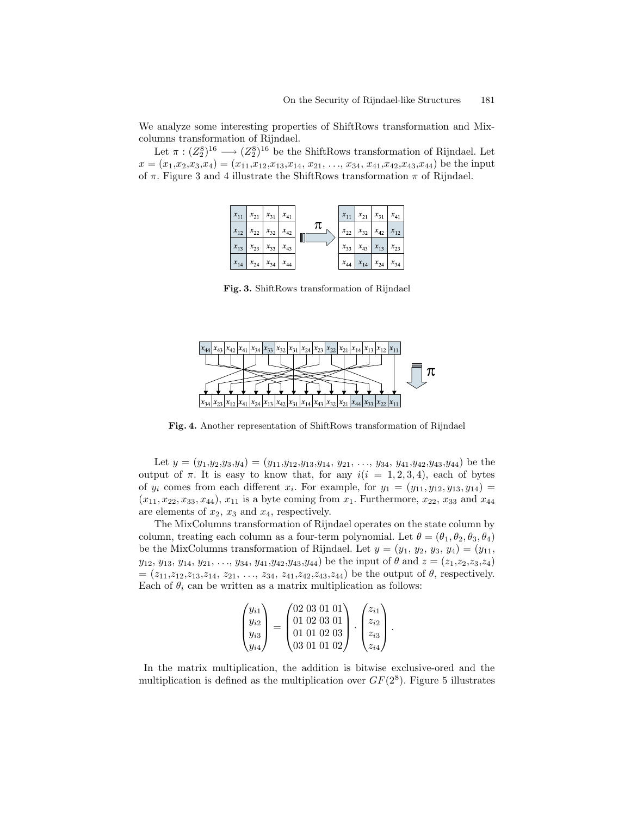We analyze some interesting properties of ShiftRows transformation and Mixcolumns transformation of Rijndael.

Let  $\pi : (Z_2^8)^{16} \longrightarrow (Z_2^8)^{16}$  be the ShiftRows transformation of Rijndael. Let  $x = (x_1, x_2, x_3, x_4) = (x_{11}, x_{12}, x_{13}, x_{14}, x_{21}, \ldots, x_{34}, x_{41}, x_{42}, x_{43}, x_{44})$  be the input of  $\pi$ . Figure 3 and 4 illustrate the ShiftRows transformation  $\pi$  of Rijndael.



Fig. 3. ShiftRows transformation of Rijndael



Fig. 4. Another representation of ShiftRows transformation of Rijndael

Let  $y = (y_1,y_2,y_3,y_4) = (y_{11},y_{12},y_{13},y_{14}, y_{21}, \ldots, y_{34}, y_{41},y_{42},y_{43},y_{44})$  be the output of  $\pi$ . It is easy to know that, for any  $i(i = 1, 2, 3, 4)$ , each of bytes of  $y_i$  comes from each different  $x_i$ . For example, for  $y_1 = (y_{11}, y_{12}, y_{13}, y_{14}) =$  $(x_{11}, x_{22}, x_{33}, x_{44}), x_{11}$  is a byte coming from  $x_1$ . Furthermore,  $x_{22}$ ,  $x_{33}$  and  $x_{44}$ are elements of  $x_2$ ,  $x_3$  and  $x_4$ , respectively.

The MixColumns transformation of Rijndael operates on the state column by column, treating each column as a four-term polynomial. Let  $\theta = (\theta_1, \theta_2, \theta_3, \theta_4)$ be the MixColumns transformation of Rijndael. Let  $y = (y_1, y_2, y_3, y_4) = (y_{11},$  $y_{12}, y_{13}, y_{14}, y_{21}, \ldots, y_{34}, y_{41}, y_{42}, y_{43}, y_{44})$  be the input of  $\theta$  and  $z = (z_1, z_2, z_3, z_4)$  $=(z_{11},z_{12},z_{13},z_{14}, z_{21},..., z_{34}, z_{41},z_{42},z_{43},z_{44})$  be the output of  $\theta$ , respectively. Each of  $\theta_i$  can be written as a matrix multiplication as follows:

$$
\begin{pmatrix} y_{i1} \\ y_{i2} \\ y_{i3} \\ y_{i4} \end{pmatrix} = \begin{pmatrix} 02\ 03\ 01\ 01 \\ 01\ 02\ 03\ 01 \\ 01\ 01\ 02\ 03 \\ 03\ 01\ 01\ 02 \end{pmatrix} \cdot \begin{pmatrix} z_{i1} \\ z_{i2} \\ z_{i3} \\ z_{i4} \end{pmatrix}.
$$

In the matrix multiplication, the addition is bitwise exclusive-ored and the multiplication is defined as the multiplication over  $GF(2^8)$ . Figure 5 illustrates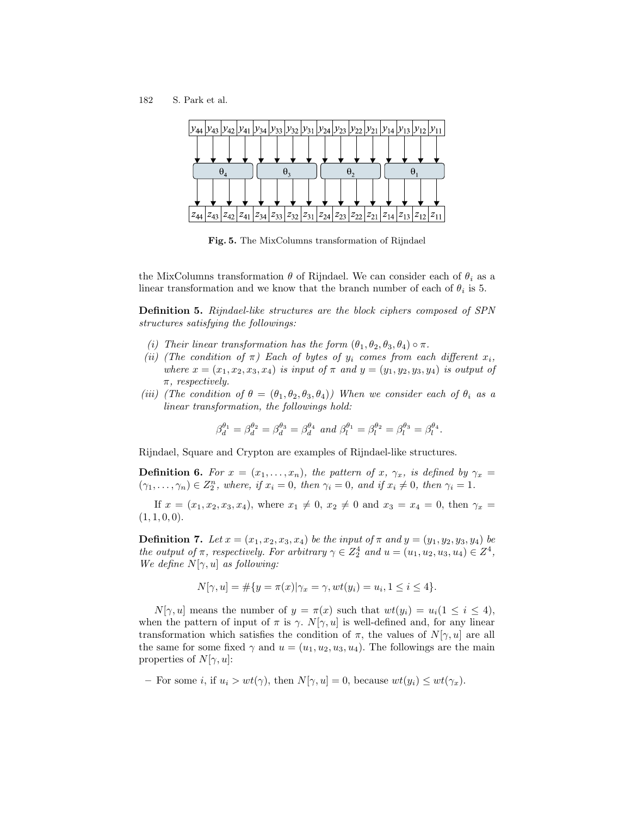182 S. Park et al.



Fig. 5. The MixColumns transformation of Rijndael

the MixColumns transformation  $\theta$  of Rijndael. We can consider each of  $\theta_i$  as a linear transformation and we know that the branch number of each of  $\theta_i$  is 5.

Definition 5. Rijndael-like structures are the block ciphers composed of SPN structures satisfying the followings:

- (i) Their linear transformation has the form  $(\theta_1, \theta_2, \theta_3, \theta_4) \circ \pi$ .
- (ii) (The condition of  $\pi$ ) Each of bytes of  $y_i$  comes from each different  $x_i$ , where  $x = (x_1, x_2, x_3, x_4)$  is input of  $\pi$  and  $y = (y_1, y_2, y_3, y_4)$  is output of  $\pi$ , respectively.
- (iii) (The condition of  $\theta = (\theta_1, \theta_2, \theta_3, \theta_4)$ ) When we consider each of  $\theta_i$  as a linear transformation, the followings hold:

$$
\beta_d^{\theta_1}=\beta_d^{\theta_2}=\beta_d^{\theta_3}=\beta_d^{\theta_4} \textit{ and } \beta_l^{\theta_1}=\beta_l^{\theta_2}=\beta_l^{\theta_3}=\beta_l^{\theta_4}.
$$

Rijndael, Square and Crypton are examples of Rijndael-like structures.

**Definition 6.** For  $x = (x_1, \ldots, x_n)$ , the pattern of x,  $\gamma_x$ , is defined by  $\gamma_x =$  $(\gamma_1, \ldots, \gamma_n) \in Z_2^n$ , where, if  $x_i = 0$ , then  $\gamma_i = 0$ , and if  $x_i \neq 0$ , then  $\gamma_i = 1$ .

If  $x = (x_1, x_2, x_3, x_4)$ , where  $x_1 \neq 0$ ,  $x_2 \neq 0$  and  $x_3 = x_4 = 0$ , then  $\gamma_x =$  $(1, 1, 0, 0).$ 

**Definition 7.** Let  $x = (x_1, x_2, x_3, x_4)$  be the input of  $\pi$  and  $y = (y_1, y_2, y_3, y_4)$  be the output of  $\pi$ , respectively. For arbitrary  $\gamma \in Z_2^4$  and  $u = (u_1, u_2, u_3, u_4) \in Z^4$ , We define  $N[\gamma, u]$  as following:

$$
N[\gamma, u] = \# \{ y = \pi(x) | \gamma_x = \gamma, wt(y_i) = u_i, 1 \le i \le 4 \}.
$$

 $N[\gamma, u]$  means the number of  $y = \pi(x)$  such that  $wt(y_i) = u_i(1 \leq i \leq 4)$ , when the pattern of input of  $\pi$  is  $\gamma$ .  $N[\gamma, u]$  is well-defined and, for any linear transformation which satisfies the condition of  $\pi$ , the values of  $N[\gamma, u]$  are all the same for some fixed  $\gamma$  and  $u = (u_1, u_2, u_3, u_4)$ . The followings are the main properties of  $N[\gamma, u]$ :

<sup>–</sup> For some i, if  $u_i > wt(\gamma)$ , then  $N[\gamma, u] = 0$ , because  $wt(y_i) \le wt(\gamma_x)$ .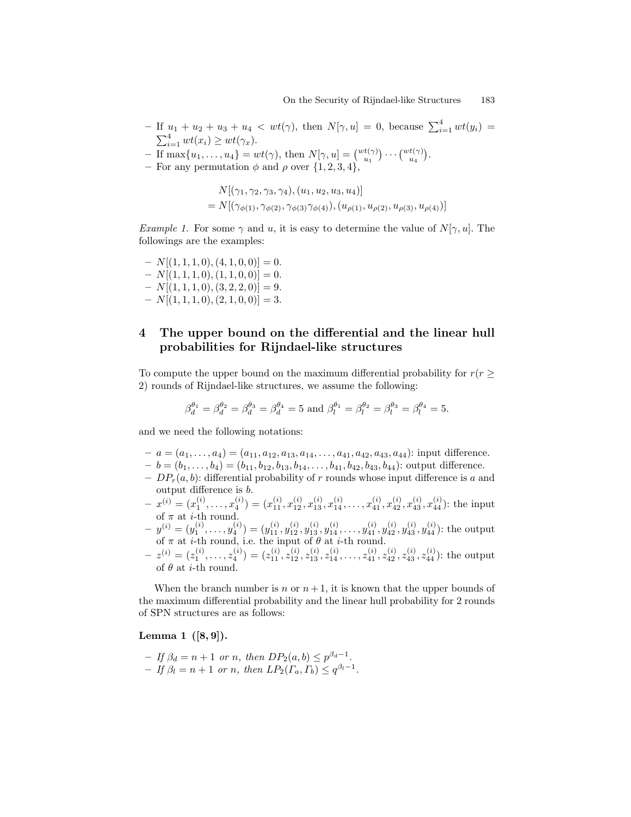- If  $u_1 + u_2 + u_3 + u_4 < wt(\gamma)$ , then  $N[\gamma, u] = 0$ , because  $\sum_{i=1}^{4} wt(y_i) =$  $\sum_{i=1}^4 wt(x_i) \ge wt(\gamma_x)$ .
- If  $\max\{u_1,\ldots,u_4\} = wt(\gamma)$ , then  $N[\gamma, u] = \begin{pmatrix} wt(\gamma) \\ u_1 \end{pmatrix} \cdots \begin{pmatrix} wt(\gamma) \\ u_4 \end{pmatrix}$ .
- For any permutation  $\phi$  and  $\rho$  over  $\{1, 2, 3, 4\},\$

$$
N[(\gamma_1, \gamma_2, \gamma_3, \gamma_4), (u_1, u_2, u_3, u_4)]
$$
  
=  $N[(\gamma_{\phi(1)}, \gamma_{\phi(2)}, \gamma_{\phi(3)}\gamma_{\phi(4)}), (u_{\rho(1)}, u_{\rho(2)}, u_{\rho(3)}, u_{\rho(4)})]$ 

*Example 1.* For some  $\gamma$  and u, it is easy to determine the value of  $N[\gamma, u]$ . The followings are the examples:

- $-V[(1, 1, 1, 0), (4, 1, 0, 0)] = 0.$  $-V[(1, 1, 1, 0), (1, 1, 0, 0)] = 0.$
- $N[(1, 1, 1, 0), (3, 2, 2, 0)] = 9.$
- $N[(1, 1, 1, 0), (2, 1, 0, 0)] = 3.$

# 4 The upper bound on the differential and the linear hull probabilities for Rijndael-like structures

To compute the upper bound on the maximum differential probability for  $r(r \geq 1)$ 2) rounds of Rijndael-like structures, we assume the following:

$$
\beta_d^{\theta_1} = \beta_d^{\theta_2} = \beta_d^{\theta_3} = \beta_d^{\theta_4} = 5
$$
 and  $\beta_l^{\theta_1} = \beta_l^{\theta_2} = \beta_l^{\theta_3} = \beta_l^{\theta_4} = 5$ .

and we need the following notations:

- $-a = (a_1, \ldots, a_4) = (a_{11}, a_{12}, a_{13}, a_{14}, \ldots, a_{41}, a_{42}, a_{43}, a_{44})$ : input difference.
- $-b = (b_1, \ldots, b_4) = (b_{11}, b_{12}, b_{13}, b_{14}, \ldots, b_{41}, b_{42}, b_{43}, b_{44})$ : output difference.
- $DP_r(a, b)$ : differential probability of r rounds whose input difference is a and output difference is b.
- $(x_1^{(i)},...,x_4^{(i)}) = (x_{11}^{(i)},x_{12}^{(i)},x_{13}^{(i)},x_{14}^{(i)},...,x_{41}^{(i)},x_{42}^{(i)},x_{43}^{(i)},x_{44}^{(i)})$ : the input of  $\pi$  at *i*-th round.
- $(y_1^{(i)} = (y_1^{(i)}, \ldots, y_4^{(i)}) = (y_{11}^{(i)}, y_{12}^{(i)}, y_{13}^{(i)}, y_{14}^{(i)}, \ldots, y_{41}^{(i)}, y_{42}^{(i)}, y_{43}^{(i)}, y_{44}^{(i)})$ : the output of  $\pi$  at *i*-th round, i.e. the input of  $\theta$  at *i*-th round.
- $(z_1^{(i)} = (z_1^{(i)}, \ldots, z_4^{(i)}) = (z_{11}^{(i)}, z_{12}^{(i)}, z_{13}^{(i)}, z_{14}^{(i)}, \ldots, z_{41}^{(i)}, z_{42}^{(i)}, z_{43}^{(i)}, z_{44}^{(i)})$ : the output of  $\theta$  at *i*-th round.

When the branch number is n or  $n+1$ , it is known that the upper bounds of the maximum differential probability and the linear hull probability for 2 rounds of SPN structures are as follows:

### Lemma 1  $([8, 9])$ .

 $-If \beta_d = n + 1 \text{ or } n, \text{ then } DP_2(a, b) \leq p^{\beta_d - 1}.$  $-If \beta_l = n+1 \text{ or } n, \text{ then } LP_2(\Gamma_a, \Gamma_b) \leq q^{\beta_l-1}.$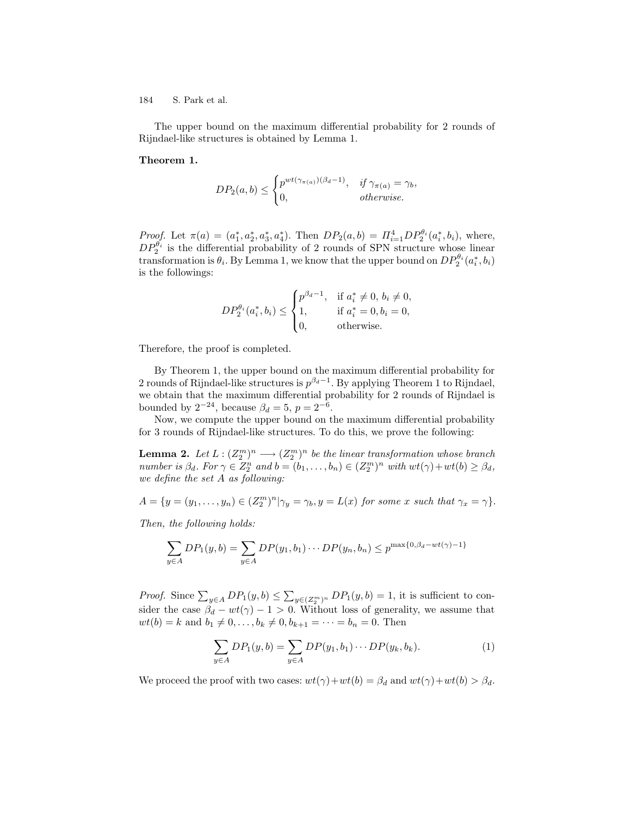The upper bound on the maximum differential probability for 2 rounds of Rijndael-like structures is obtained by Lemma 1.

#### Theorem 1.

$$
DP_2(a, b) \le \begin{cases} p^{wt(\gamma_{\pi(a)})(\beta_d - 1)}, & \text{if } \gamma_{\pi(a)} = \gamma_b, \\ 0, & \text{otherwise.} \end{cases}
$$

Proof. Let  $\pi(a) = (a_1^*, a_2^*, a_3^*, a_4^*)$ . Then  $DP_2(a, b) = \Pi_{i=1}^4 DP_2^{\theta_i}(a_i^*, b_i)$ , where,  $DP_2^{\theta_i}$  is the differential probability of 2 rounds of SPN structure whose linear transformation is  $\theta_i$ . By Lemma 1, we know that the upper bound on  $DP_2^{\theta_i}(a_i^*,b_i)$ is the followings:

$$
DP_2^{\theta_i}(a_i^*, b_i) \le \begin{cases} p^{\beta_d - 1}, & \text{if } a_i^* \ne 0, b_i \ne 0, \\ 1, & \text{if } a_i^* = 0, b_i = 0, \\ 0, & \text{otherwise.} \end{cases}
$$

Therefore, the proof is completed.

By Theorem 1, the upper bound on the maximum differential probability for 2 rounds of Rijndael-like structures is  $p^{\beta_d-1}$ . By applying Theorem 1 to Rijndael, we obtain that the maximum differential probability for 2 rounds of Rijndael is bounded by  $2^{-24}$ , because  $\beta_d = 5$ ,  $p = 2^{-6}$ .

Now, we compute the upper bound on the maximum differential probability for 3 rounds of Rijndael-like structures. To do this, we prove the following:

**Lemma 2.** Let  $L:(Z_2^m)^n \longrightarrow (Z_2^m)^n$  be the linear transformation whose branch number is  $\beta_d$ . For  $\gamma \in Z_2^n$  and  $b = (b_1, \ldots, b_n) \in (Z_2^m)^n$  with  $wt(\gamma) + wt(b) \geq \beta_d$ , we define the set A as following:

$$
A = \{ y = (y_1, \dots, y_n) \in (Z_2^m)^n | \gamma_y = \gamma_b, y = L(x) \text{ for some } x \text{ such that } \gamma_x = \gamma \}.
$$

Then, the following holds:

$$
\sum_{y \in A} DP_1(y, b) = \sum_{y \in A} DP(y_1, b_1) \cdots DP(y_n, b_n) \le p^{\max\{0, \beta_d - wt(\gamma) - 1\}}
$$

*Proof.* Since  $\sum_{y \in A} DP_1(y, b) \le \sum_{y \in (Z_2^m)^n} DP_1(y, b) = 1$ , it is sufficient to consider the case  $\beta_d - wt(\gamma) - 1 > 0$ . Without loss of generality, we assume that  $wt(b) = k$  and  $b_1 \neq 0, \ldots, b_k \neq 0, b_{k+1} = \cdots = b_n = 0$ . Then

$$
\sum_{y \in A} DP_1(y, b) = \sum_{y \in A} DP(y_1, b_1) \cdots DP(y_k, b_k).
$$
 (1)

We proceed the proof with two cases:  $wt(\gamma)+wt(b) = \beta_d$  and  $wt(\gamma)+wt(b) > \beta_d$ .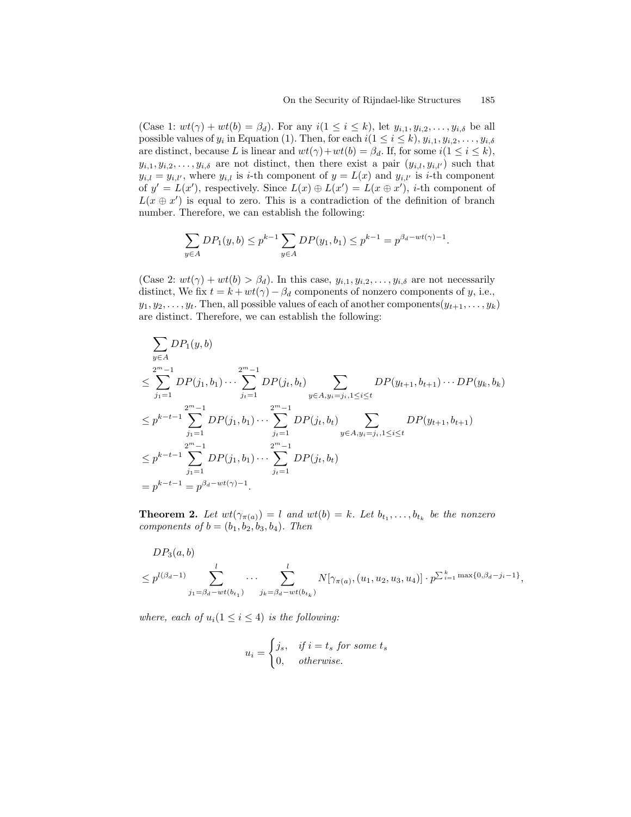(Case 1:  $wt(\gamma) + wt(b) = \beta_d$ ). For any  $i(1 \leq i \leq k)$ , let  $y_{i,1}, y_{i,2}, \ldots, y_{i,\delta}$  be all possible values of  $y_i$  in Equation (1). Then, for each  $i(1 \leq i \leq k)$ ,  $y_{i,1}, y_{i,2}, \ldots, y_{i,\delta}$ are distinct, because L is linear and  $wt(\gamma)+wt(b) = \beta_d$ . If, for some  $i(1 \leq i \leq k)$ ,  $y_{i,1}, y_{i,2}, \ldots, y_{i,\delta}$  are not distinct, then there exist a pair  $(y_{i,l}, y_{i,l'})$  such that  $y_{i,l} = y_{i,l'}$ , where  $y_{i,l}$  is *i*-th component of  $y = L(x)$  and  $y_{i,l'}$  is *i*-th component of  $y' = L(x')$ , respectively. Since  $L(x) \oplus L(x') = L(x \oplus x')$ , *i*-th component of  $L(x \oplus x')$  is equal to zero. This is a contradiction of the definition of branch number. Therefore, we can establish the following:

$$
\sum_{y \in A} DP_1(y, b) \le p^{k-1} \sum_{y \in A} DP(y_1, b_1) \le p^{k-1} = p^{\beta_d - wt(\gamma) - 1}.
$$

(Case 2:  $wt(\gamma) + wt(b) > \beta_d$ ). In this case,  $y_{i,1}, y_{i,2}, \ldots, y_{i,\delta}$  are not necessarily distinct, We fix  $t = k + wt(\gamma) - \beta_d$  components of nonzero components of y, i.e.,  $y_1, y_2, \ldots, y_t$ . Then, all possible values of each of another components $(y_{t+1}, \ldots, y_k)$ are distinct. Therefore, we can establish the following:

$$
\sum_{y \in A} DP_1(y, b)
$$
\n
$$
\leq \sum_{j_1=1}^{2^m-1} DP(j_1, b_1) \cdots \sum_{j_t=1}^{2^m-1} DP(j_t, b_t) \sum_{y \in A, y_i = j_i, 1 \leq i \leq t} DP(y_{t+1}, b_{t+1}) \cdots DP(y_k, b_k)
$$
\n
$$
\leq p^{k-t-1} \sum_{j_1=1}^{2^m-1} DP(j_1, b_1) \cdots \sum_{j_t=1}^{2^m-1} DP(j_t, b_t) \sum_{y \in A, y_i = j_i, 1 \leq i \leq t} DP(y_{t+1}, b_{t+1})
$$
\n
$$
\leq p^{k-t-1} \sum_{j_1=1}^{2^m-1} DP(j_1, b_1) \cdots \sum_{j_t=1}^{2^m-1} DP(j_t, b_t)
$$
\n
$$
= p^{k-t-1} = p^{\beta_d - wt(\gamma) - 1}.
$$

**Theorem 2.** Let  $wt(\gamma_{\pi(a)}) = l$  and  $wt(b) = k$ . Let  $b_{t_1}, \ldots, b_{t_k}$  be the nonzero components of  $b = (b_1, b_2, b_3, b_4)$ . Then

$$
DP_3(a, b)
$$
  
\n
$$
\leq p^{l(\beta_d - 1)} \sum_{j_1 = \beta_d - wt(b_{t_1})}^{l} \dots \sum_{j_k = \beta_d - wt(b_{t_k})}^{l} N[\gamma_{\pi(a)}, (u_1, u_2, u_3, u_4)] \cdot p^{\sum_{i=1}^k \max\{0, \beta_d - j_i - 1\}},
$$

where, each of  $u_i(1 \leq i \leq 4)$  is the following:

$$
u_i = \begin{cases} j_s, & if \ i = t_s \ for \ some \ t_s \\ 0, & otherwise. \end{cases}
$$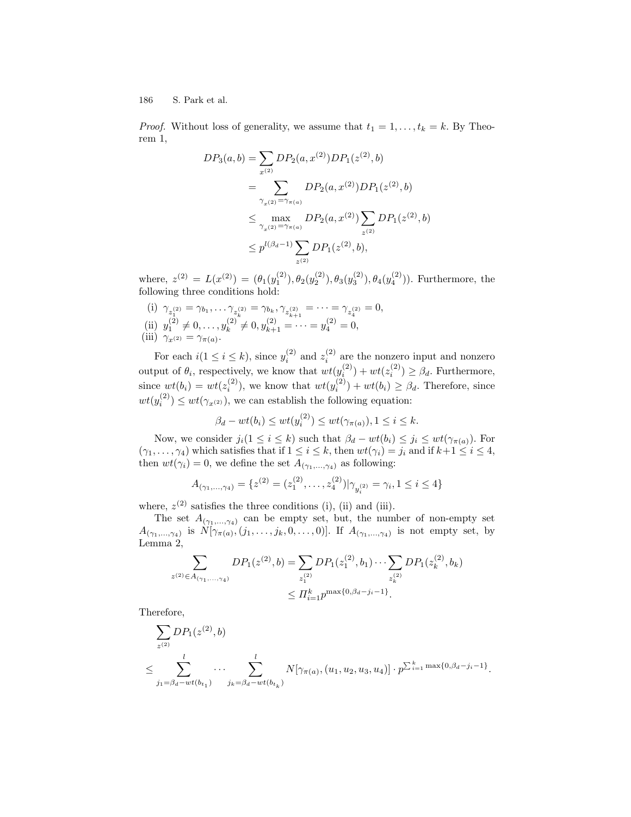*Proof.* Without loss of generality, we assume that  $t_1 = 1, \ldots, t_k = k$ . By Theorem 1,

$$
DP_3(a, b) = \sum_{x^{(2)}} DP_2(a, x^{(2)}) DP_1(z^{(2)}, b)
$$
  
= 
$$
\sum_{\substack{\gamma_{x^{(2)}} = \gamma_{\pi(a)}}} DP_2(a, x^{(2)}) DP_1(z^{(2)}, b)
$$
  

$$
\leq \max_{\substack{\gamma_{x^{(2)}} = \gamma_{\pi(a)}}} DP_2(a, x^{(2)}) \sum_{z^{(2)}} DP_1(z^{(2)}, b)
$$
  

$$
\leq p^{l(\beta_d - 1)} \sum_{z^{(2)}} DP_1(z^{(2)}, b),
$$

where,  $z^{(2)} = L(x^{(2)}) = (\theta_1(y_1^{(2)}), \theta_2(y_2^{(2)}), \theta_3(y_3^{(2)}), \theta_4(y_4^{(2)}))$ . Furthermore, the following three conditions hold:

(i)  $\gamma_{z_1^{(2)}} = \gamma_{b_1}, \ldots \gamma_{z_k^{(2)}} = \gamma_{b_k}, \gamma_{z_{k+1}^{(2)}} = \cdots = \gamma_{z_4^{(2)}} = 0,$ (ii)  $y_1^{(2)} \neq 0, \ldots, y_k^{(2)}$  $x_k^{(2)} \neq 0, y_{k+1}^{(2)} = \cdots = y_4^{(2)} = 0,$ (iii)  $\gamma_{x^{(2)}} = \gamma_{\pi(a)}$ .

For each  $i(1 \leq i \leq k)$ , since  $y_i^{(2)}$  and  $z_i^{(2)}$  are the nonzero input and nonzero output of  $\theta_i$ , respectively, we know that  $wt(y_i^{(2)}) + wt(z_i^{(2)}) \geq \beta_d$ . Furthermore, since  $wt(b_i) = wt(z_i^{(2)})$ , we know that  $wt(y_i^{(2)}) + wt(b_i) \geq \beta_d$ . Therefore, since  $wt(y_i^{(2)}) \leq wt(\gamma_{x^{(2)}})$ , we can establish the following equation:

$$
\beta_d - wt(b_i) \le wt(y_i^{(2)}) \le wt(\gamma_{\pi(a)}), 1 \le i \le k.
$$

Now, we consider  $j_i(1 \leq i \leq k)$  such that  $\beta_d - wt(b_i) \leq j_i \leq wt(\gamma_{\pi(a)})$ . For  $(\gamma_1, \ldots, \gamma_4)$  which satisfies that if  $1 \leq i \leq k$ , then  $wt(\gamma_i) = j_i$  and if  $k+1 \leq i \leq 4$ , then  $wt(\gamma_i) = 0$ , we define the set  $A_{(\gamma_1,\ldots,\gamma_4)}$  as following:

$$
A_{(\gamma_1,\ldots,\gamma_4)} = \{z^{(2)} = (z_1^{(2)},\ldots,z_4^{(2)}) | \gamma_{y_i^{(2)}} = \gamma_i, 1 \le i \le 4\}
$$

where,  $z^{(2)}$  satisfies the three conditions (i), (ii) and (iii).

The set  $A_{(\gamma_1,...,\gamma_4)}$  can be empty set, but, the number of non-empty set  $A_{(\gamma_1,\ldots,\gamma_4)}$  is  $N[\gamma_{\pi(a)},(j_1,\ldots,j_k,0,\ldots,0)]$ . If  $A_{(\gamma_1,\ldots,\gamma_4)}$  is not empty set, by Lemma 2,

$$
\sum_{z^{(2)} \in A_{(\gamma_1, \dots, \gamma_4)}} DP_1(z^{(2)}, b) = \sum_{z_1^{(2)}} DP_1(z_1^{(2)}, b_1) \cdots \sum_{z_k^{(2)}} DP_1(z_k^{(2)}, b_k)
$$

$$
\leq \prod_{i=1}^k p^{\max\{0, \beta_d - j_i - 1\}}.
$$

Therefore,

$$
\sum_{z^{(2)}} DP_1(z^{(2)}, b)
$$
\n
$$
\leq \sum_{j_1 = \beta_d - wt(b_{t_1})}^{l} \dots \sum_{j_k = \beta_d - wt(b_{t_k})}^{l} N[\gamma_{\pi(a)}, (u_1, u_2, u_3, u_4)] \cdot p^{\sum_{i=1}^k \max\{0, \beta_d - j_i - 1\}}.
$$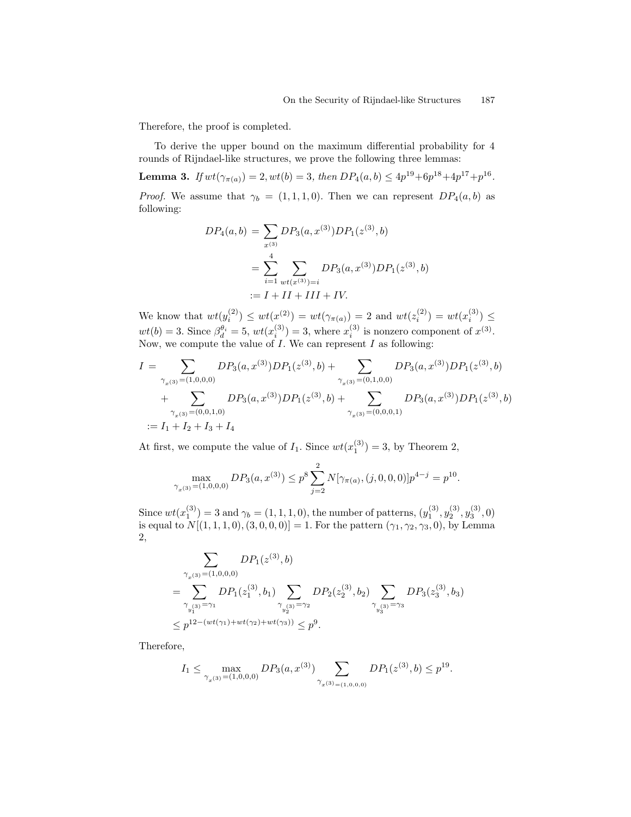Therefore, the proof is completed.

To derive the upper bound on the maximum differential probability for 4 rounds of Rijndael-like structures, we prove the following three lemmas:

**Lemma 3.** If  $wt(\gamma_{\pi(a)}) = 2, wt(b) = 3$ , then  $DP_4(a, b) \le 4p^{19} + 6p^{18} + 4p^{17} + p^{16}$ . *Proof.* We assume that  $\gamma_b = (1, 1, 1, 0)$ . Then we can represent  $DP_4(a, b)$  as following:

$$
DP_4(a, b) = \sum_{x^{(3)}} DP_3(a, x^{(3)}) DP_1(z^{(3)}, b)
$$
  
= 
$$
\sum_{i=1}^4 \sum_{wt(x^{(3)})=i} DP_3(a, x^{(3)}) DP_1(z^{(3)}, b)
$$
  
:= 
$$
I + II + III + IV.
$$

We know that  $wt(y_i^{(2)}) \le wt(x^{(2)}) = wt(\gamma_{\pi(a)}) = 2$  and  $wt(z_i^{(2)}) = wt(x_i^{(3)}) \le$  $wt(b) = 3$ . Since  $\beta_d^{\theta_i} = 5$ ,  $wt(x_i^{(3)}) = 3$ , where  $x_i^{(3)}$  is nonzero component of  $x^{(3)}$ . Now, we compute the value of  $I$ . We can represent  $I$  as following:

$$
I = \sum_{\substack{\gamma_{x^{(3)}} = (1,0,0,0)}} DP_3(a, x^{(3)}) DP_1(z^{(3)}, b) + \sum_{\substack{\gamma_{x^{(3)}} = (0,1,0,0)}} DP_3(a, x^{(3)}) DP_1(z^{(3)}, b) + \sum_{\substack{\gamma_{x^{(3)}} = (0,0,1,0)}} DP_3(a, x^{(3)}) DP_1(z^{(3)}, b) + \sum_{\substack{\gamma_{x^{(3)}} = (0,0,0,1)}} DP_3(a, x^{(3)}) DP_1(z^{(3)}, b)
$$
  
:=  $I_1 + I_2 + I_3 + I_4$ 

At first, we compute the value of  $I_1$ . Since  $wt(x_1^{(3)}) = 3$ , by Theorem 2,

$$
\max_{\gamma_x(s)=(1,0,0,0)} DP_3(a, x^{(3)}) \le p^8 \sum_{j=2}^2 N[\gamma_{\pi(a)}, (j,0,0,0)] p^{4-j} = p^{10}.
$$

Since  $wt(x_1^{(3)}) = 3$  and  $\gamma_b = (1, 1, 1, 0)$ , the number of patterns,  $(y_1^{(3)}, y_2^{(3)}, y_3^{(3)}, 0)$ is equal to  $N[(1, 1, 1, 0), (3, 0, 0, 0)] = 1$ . For the pattern  $(\gamma_1, \gamma_2, \gamma_3, 0)$ , by Lemma 2,

$$
\sum_{\substack{\gamma_x(3) = (1,0,0,0) \\ \gamma_{y_1^{(3)}} = \gamma_1}} DP_1(z_1^{(3)}, b) = \sum_{\substack{\gamma_{y_1^{(3)}} = \gamma_1}} DP_1(z_1^{(3)}, b_1) \sum_{\substack{\gamma_{y_2^{(3)}} = \gamma_2}} DP_2(z_2^{(3)}, b_2) \sum_{\substack{\gamma_{y_3^{(3)}} = \gamma_3}} DP_3(z_3^{(3)}, b_3) \leq p^{12 - (wt(\gamma_1) + wt(\gamma_2) + wt(\gamma_3))} \leq p^9.
$$

Therefore,

$$
I_1 \le \max_{\gamma_x(3)=(1,0,0,0)} DP_3(a,x^{(3)}) \sum_{\gamma_x(3)=(1,0,0,0)} DP_1(z^{(3)},b) \le p^{19}.
$$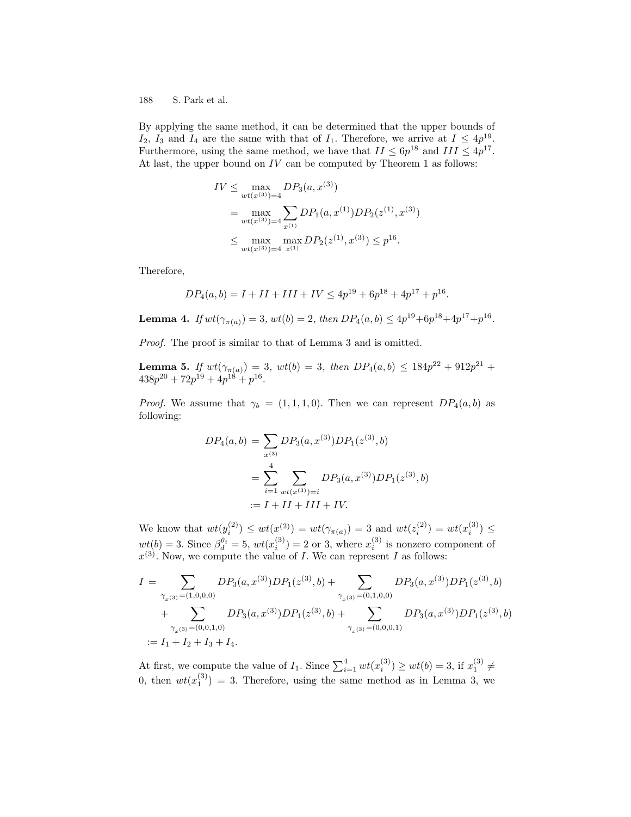By applying the same method, it can be determined that the upper bounds of  $I_2$ ,  $I_3$  and  $I_4$  are the same with that of  $I_1$ . Therefore, we arrive at  $I \n\t\leq 4p^{19}$ . Furthermore, using the same method, we have that  $II \leq 6p^{18}$  and  $III \leq 4p^{17}$ . At last, the upper bound on  $IV$  can be computed by Theorem 1 as follows:

$$
IV \leq \max_{wt(x^{(3)})=4} DP_3(a, x^{(3)})
$$
  
= 
$$
\max_{wt(x^{(3)})=4} \sum_{x^{(1)}} DP_1(a, x^{(1)}) DP_2(z^{(1)}, x^{(3)})
$$
  

$$
\leq \max_{wt(x^{(3)})=4} \max_{z^{(1)}} DP_2(z^{(1)}, x^{(3)}) \leq p^{16}.
$$

Therefore,

$$
DP_4(a, b) = I + II + III + IV \le 4p^{19} + 6p^{18} + 4p^{17} + p^{16}.
$$

**Lemma 4.** If  $wt(\gamma_{\pi(a)}) = 3$ ,  $wt(b) = 2$ , then  $DP_4(a, b) \le 4p^{19} + 6p^{18} + 4p^{17} + p^{16}$ .

Proof. The proof is similar to that of Lemma 3 and is omitted.

**Lemma 5.** If  $wt(\gamma_{\pi(a)}) = 3$ ,  $wt(b) = 3$ , then  $DP_4(a, b) \leq 184p^{22} + 912p^{21} +$  $438p^{20} + 72p^{19} + 4p^{18} + p^{16}.$ 

*Proof.* We assume that  $\gamma_b = (1, 1, 1, 0)$ . Then we can represent  $DP_4(a, b)$  as following:

$$
DP_4(a, b) = \sum_{x^{(3)}} DP_3(a, x^{(3)}) DP_1(z^{(3)}, b)
$$
  
= 
$$
\sum_{i=1}^4 \sum_{wt(x^{(3)})=i} DP_3(a, x^{(3)}) DP_1(z^{(3)}, b)
$$
  
:= 
$$
I + II + III + IV.
$$

We know that  $wt(y_i^{(2)}) \le wt(x^{(2)}) = wt(\gamma_{\pi(a)}) = 3$  and  $wt(z_i^{(2)}) = wt(x_i^{(3)}) \le$  $wt(b) = 3$ . Since  $\beta_d^{\theta_i} = 5$ ,  $wt(x_i^{(3)}) = 2$  or 3, where  $x_i^{(3)}$  is nonzero component of  $x^{(3)}$ . Now, we compute the value of *I*. We can represent *I* as follows:

$$
I = \sum_{\substack{\gamma_x(3) = (1,0,0,0) \\ +}} DP_3(a, x^{(3)})DP_1(z^{(3)}, b) + \sum_{\substack{\gamma_x(3) = (0,1,0,0) \\ \vdots \\ \gamma_x(3) = (0,0,1,0)}} DP_3(a, x^{(3)})DP_1(z^{(3)}, b) + \sum_{\substack{\gamma_x(3) = (0,0,0,1) \\ \vdots \\ \gamma_x(3) = (0,0,0,1)}} DP_3(a, x^{(3)})DP_1(z^{(3)}, b)
$$
  
:=  $I_1 + I_2 + I_3 + I_4$ .

At first, we compute the value of  $I_1$ . Since  $\sum_{i=1}^4 wt(x_i^{(3)}) \ge wt(b) = 3$ , if  $x_1^{(3)} \ne$ 0, then  $wt(x_1^{(3)}) = 3$ . Therefore, using the same method as in Lemma 3, we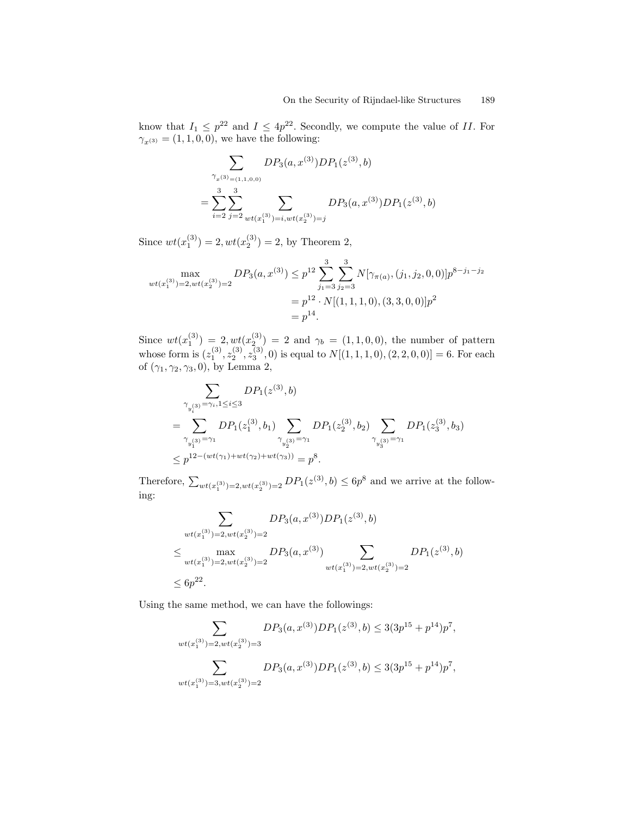know that  $I_1 \n\t\leq p^{22}$  and  $I \n\t\leq 4p^{22}$ . Secondly, we compute the value of II. For  $\gamma_{x^{(3)}} = (1, 1, 0, 0)$ , we have the following:

$$
\sum_{\substack{\gamma_x(3) = (1,1,0,0) \\ \vdots \\ \gamma_x(4) = 2}} DP_3(a, x^{(3)}) DP_1(z^{(3)}, b)
$$

$$
= \sum_{i=2}^3 \sum_{j=2}^3 \sum_{wt(x_1^{(3)}) = i, wt(x_2^{(3)}) = j} DP_3(a, x^{(3)}) DP_1(z^{(3)}, b)
$$

Since  $wt(x_1^{(3)}) = 2, wt(x_2^{(3)}) = 2$ , by Theorem 2,

$$
\max_{wt(x_1^{(3)})=2, wt(x_2^{(3)})=2} DP_3(a, x^{(3)}) \le p^{12} \sum_{j_1=3}^3 \sum_{j_2=3}^3 N[\gamma_{\pi(a)}, (j_1, j_2, 0, 0)] p^{8-j_1-j_2}
$$
  
=  $p^{12} \cdot N[(1, 1, 1, 0), (3, 3, 0, 0)] p^2$   
=  $p^{14}$ .

Since  $wt(x_1^{(3)}) = 2, wt(x_2^{(3)}) = 2$  and  $\gamma_b = (1, 1, 0, 0)$ , the number of pattern whose form is  $(z_1^{(3)}, z_2^{(3)}, z_3^{(3)}, 0)$  is equal to  $N[(1,1,1,0), (2,2,0,0)] = 6$ . For each of  $(\gamma_1, \gamma_2, \gamma_3, 0)$ , by Lemma 2,

$$
\sum_{\substack{\gamma_{y_i^{(3)}} = \gamma_i, 1 \leq i \leq 3}} DP_1(z^{(3)}, b)
$$
\n
$$
= \sum_{\substack{\gamma_{y_i^{(3)}} = \gamma_1}} DP_1(z_1^{(3)}, b_1) \sum_{\substack{\gamma_{y_2^{(3)}} = \gamma_1}} DP_1(z_2^{(3)}, b_2) \sum_{\substack{\gamma_{y_3^{(3)}} = \gamma_1}} DP_1(z_3^{(3)}, b_3)
$$
\n
$$
\leq p^{12 - (wt(\gamma_1) + wt(\gamma_2) + wt(\gamma_3))} = p^8.
$$

Therefore,  $\sum_{wt(x_1^{(3)})=2, wt(x_2^{(3)})=2} DP_1(z^{(3)}, b) \le 6p^8$  and we arrive at the following:

$$
\sum_{wt(x_1^{(3)})=2, wt(x_2^{(3)})=2} DP_3(a, x^{(3)})DP_1(z^{(3)}, b)
$$
  

$$
\leq \max_{wt(x_1^{(3)})=2, wt(x_2^{(3)})=2} DP_3(a, x^{(3)}) \sum_{wt(x_1^{(3)})=2, wt(x_2^{(3)})=2} DP_1(z^{(3)}, b)
$$
  

$$
\leq 6p^{22}.
$$

Using the same method, we can have the followings:

$$
\sum_{wt(x_1^{(3)})=2, wt(x_2^{(3)})=3} DP_3(a, x^{(3)})DP_1(z^{(3)}, b) \leq 3(3p^{15} + p^{14})p^7,
$$
  

$$
\sum_{wt(x_1^{(3)})=3, wt(x_2^{(3)})=2} DP_3(a, x^{(3)})DP_1(z^{(3)}, b) \leq 3(3p^{15} + p^{14})p^7,
$$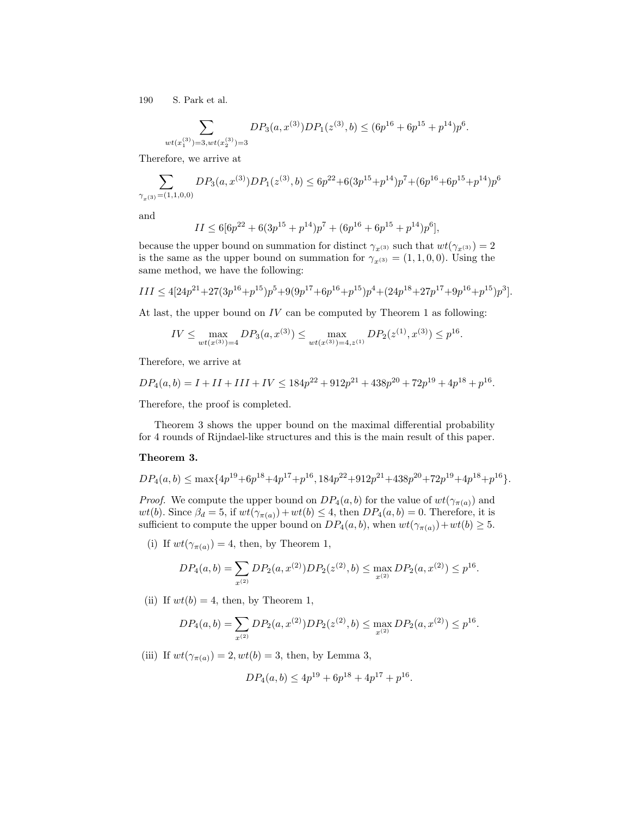$$
\sum_{wt(x_1^{(3)})=3, wt(x_2^{(3)})=3} DP_3(a,x^{(3)})DP_1(z^{(3)},b) \leq (6p^{16}+6p^{15}+p^{14})p^6.
$$

Therefore, we arrive at

$$
\sum_{\gamma_x({\bf 3})}DP_3(a,x^{(3)})DP_1(z^{(3)},b) \leq 6p^{22}+6(3p^{15}+p^{14})p^7+(6p^{16}+6p^{15}+p^{14})p^6
$$

and

$$
II \le 6[6p^{22} + 6(3p^{15} + p^{14})p^7 + (6p^{16} + 6p^{15} + p^{14})p^6],
$$

because the upper bound on summation for distinct  $\gamma_{x^{(3)}}$  such that  $wt(\gamma_{x^{(3)}}) = 2$ is the same as the upper bound on summation for  $\gamma_{x^{(3)}} = (1, 1, 0, 0)$ . Using the same method, we have the following:

$$
III \le 4[24p^{21} + 27(3p^{16} + p^{15})p^5 + 9(9p^{17} + 6p^{16} + p^{15})p^4 + (24p^{18} + 27p^{17} + 9p^{16} + p^{15})p^3].
$$

At last, the upper bound on  $IV$  can be computed by Theorem 1 as following:

$$
IV \le \max_{wt(x^{(3)})=4} DP_3(a, x^{(3)}) \le \max_{wt(x^{(3)})=4, z^{(1)}} DP_2(z^{(1)}, x^{(3)}) \le p^{16}.
$$

Therefore, we arrive at

$$
DP_4(a,b) = I + II + III + IV \le 184p^{22} + 912p^{21} + 438p^{20} + 72p^{19} + 4p^{18} + p^{16}.
$$

Therefore, the proof is completed.

Theorem 3 shows the upper bound on the maximal differential probability for 4 rounds of Rijndael-like structures and this is the main result of this paper.

#### Theorem 3.

$$
DP_4(a,b) \le \max\{4p^{19}+6p^{18}+4p^{17}+p^{16}, 184p^{22}+912p^{21}+438p^{20}+72p^{19}+4p^{18}+p^{16}\}.
$$

*Proof.* We compute the upper bound on  $DP_4(a, b)$  for the value of  $wt(\gamma_{\pi(a)})$  and wt(b). Since  $\beta_d = 5$ , if  $wt(\gamma_{\pi(a)}) + wt(b) \leq 4$ , then  $DP_4(a, b) = 0$ . Therefore, it is sufficient to compute the upper bound on  $DP_4(a, b)$ , when  $wt(\gamma_{\pi(a)}) + wt(b) \geq 5$ .

(i) If  $wt(\gamma_{\pi(a)}) = 4$ , then, by Theorem 1,

$$
DP_4(a,b) = \sum_{x^{(2)}} DP_2(a,x^{(2)})DP_2(z^{(2)},b) \le \max_{x^{(2)}} DP_2(a,x^{(2)}) \le p^{16}.
$$

(ii) If  $wt(b) = 4$ , then, by Theorem 1,

$$
DP_4(a,b) = \sum_{x^{(2)}} DP_2(a,x^{(2)}) DP_2(z^{(2)},b) \le \max_{x^{(2)}} DP_2(a,x^{(2)}) \le p^{16}.
$$

(iii) If  $wt(\gamma_{\pi(a)}) = 2, wt(b) = 3$ , then, by Lemma 3,

$$
DP_4(a, b) \le 4p^{19} + 6p^{18} + 4p^{17} + p^{16}.
$$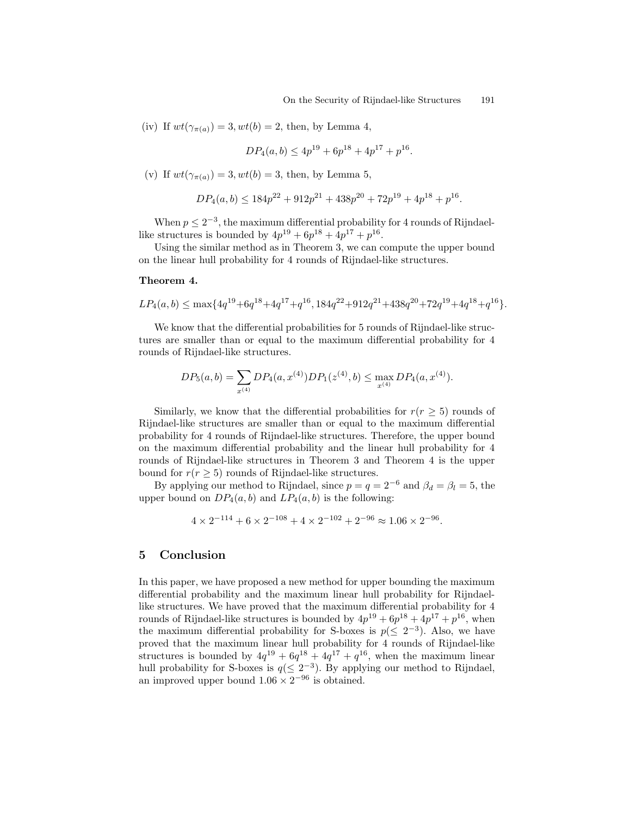(iv) If  $wt(\gamma_{\pi(a)}) = 3, wt(b) = 2$ , then, by Lemma 4,

$$
DP_4(a, b) \le 4p^{19} + 6p^{18} + 4p^{17} + p^{16}.
$$

(v) If  $wt(\gamma_{\pi(a)}) = 3, wt(b) = 3$ , then, by Lemma 5,

$$
DP_4(a,b) \le 184p^{22} + 912p^{21} + 438p^{20} + 72p^{19} + 4p^{18} + p^{16}.
$$

When  $p \leq 2^{-3}$ , the maximum differential probability for 4 rounds of Rijndaellike structures is bounded by  $4p^{19} + 6p^{18} + 4p^{17} + p^{16}$ .

Using the similar method as in Theorem 3, we can compute the upper bound on the linear hull probability for 4 rounds of Rijndael-like structures.

#### Theorem 4.

$$
LP_4(a,b) \le \max\{4q^{19} + 6q^{18} + 4q^{17} + q^{16}, 184q^{22} + 912q^{21} + 438q^{20} + 72q^{19} + 4q^{18} + q^{16}\}.
$$

We know that the differential probabilities for 5 rounds of Rijndael-like structures are smaller than or equal to the maximum differential probability for 4 rounds of Rijndael-like structures.

$$
DP_5(a, b) = \sum_{x^{(4)}} DP_4(a, x^{(4)}) DP_1(z^{(4)}, b) \le \max_{x^{(4)}} DP_4(a, x^{(4)}).
$$

Similarly, we know that the differential probabilities for  $r(r \geq 5)$  rounds of Rijndael-like structures are smaller than or equal to the maximum differential probability for 4 rounds of Rijndael-like structures. Therefore, the upper bound on the maximum differential probability and the linear hull probability for 4 rounds of Rijndael-like structures in Theorem 3 and Theorem 4 is the upper bound for  $r(r \geq 5)$  rounds of Rijndael-like structures.

By applying our method to Rijndael, since  $p = q = 2^{-6}$  and  $\beta_d = \beta_l = 5$ , the upper bound on  $DP_4(a, b)$  and  $LP_4(a, b)$  is the following:

$$
4 \times 2^{-114} + 6 \times 2^{-108} + 4 \times 2^{-102} + 2^{-96} \approx 1.06 \times 2^{-96}.
$$

### 5 Conclusion

In this paper, we have proposed a new method for upper bounding the maximum differential probability and the maximum linear hull probability for Rijndaellike structures. We have proved that the maximum differential probability for 4 rounds of Rijndael-like structures is bounded by  $4p^{19} + 6p^{18} + 4p^{17} + p^{16}$ , when the maximum differential probability for S-boxes is  $p(\leq 2^{-3})$ . Also, we have proved that the maximum linear hull probability for 4 rounds of Rijndael-like structures is bounded by  $4q^{19} + 6q^{18} + 4q^{17} + q^{16}$ , when the maximum linear hull probability for S-boxes is  $q(\leq 2^{-3})$ . By applying our method to Rijndael, an improved upper bound  $1.06 \times 2^{-96}$  is obtained.